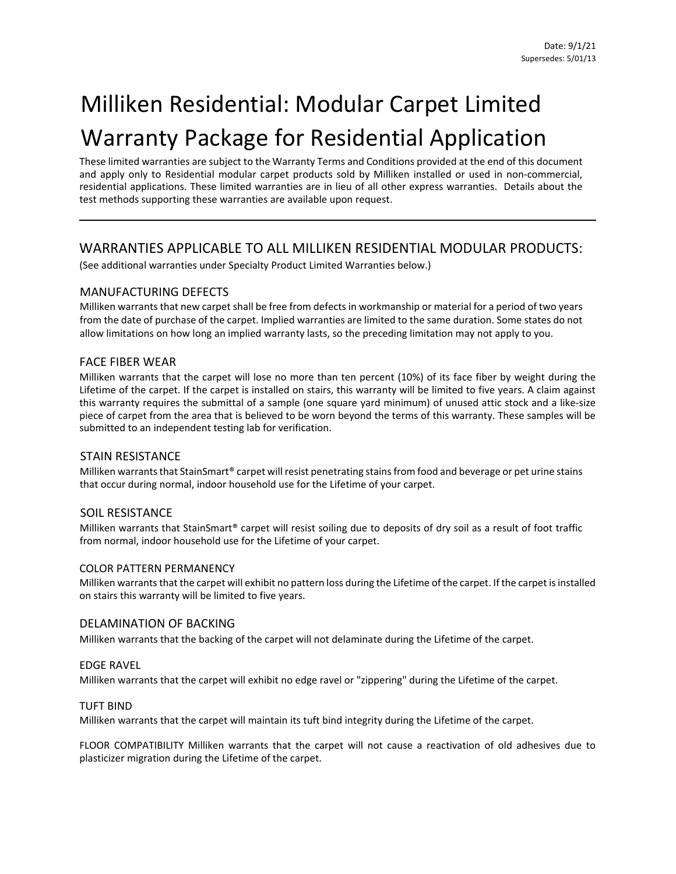# Milliken Residential: Modular Carpet Limited Warranty Package for Residential Application

These limited warranties are subject to the Warranty Terms and Conditions provided at the end of this document and apply only to Residential modular carpet products sold by Milliken installed or used in non-commercial, residential applications. These limited warranties are in lieu of all other express warranties. Details about the test methods supporting these warranties are available upon request.

## WARRANTIES APPLICABLE TO ALL MILLIKEN RESIDENTIAL MODULAR PRODUCTS:

(See additional warranties under Specialty Product Limited Warranties below.)

#### MANUFACTURING DEFECTS

Milliken warrants that new carpet shall be free from defects in workmanship or material for a period of two years from the date of purchase of the carpet. Implied warranties are limited to the same duration. Some states do not allow limitations on how long an implied warranty lasts, so the preceding limitation may not apply to you.

#### FACE FIBER WEAR

Milliken warrants that the carpet will lose no more than ten percent (10%) of its face fiber by weight during the Lifetime of the carpet. If the carpet is installed on stairs, this warranty will be limited to five years. A claim against this warranty requires the submittal of a sample (one square yard minimum) of unused attic stock and a like-size piece of carpet from the area that is believed to be worn beyond the terms of this warranty. These samples will be submitted to an independent testing lab for verification.

#### STAIN RESISTANCE

Milliken warrants that StainSmart® carpet will resist penetrating stainsfrom food and beverage or pet urine stains that occur during normal, indoor household use for the Lifetime of your carpet.

#### SOIL RESISTANCE

Milliken warrants that StainSmart® carpet will resist soiling due to deposits of dry soil as a result of foot traffic from normal, indoor household use for the Lifetime of your carpet.

#### COLOR PATTERN PERMANENCY

Milliken warrants that the carpet will exhibit no pattern loss during the Lifetime of the carpet. If the carpet is installed on stairs this warranty will be limited to five years.

#### DELAMINATION OF BACKING

Milliken warrants that the backing of the carpet will not delaminate during the Lifetime of the carpet.

#### EDGE RAVEL

Milliken warrants that the carpet will exhibit no edge ravel or "zippering" during the Lifetime of the carpet.

#### TUFT BIND

Milliken warrants that the carpet will maintain its tuft bind integrity during the Lifetime of the carpet.

FLOOR COMPATIBILITY Milliken warrants that the carpet will not cause a reactivation of old adhesives due to plasticizer migration during the Lifetime of the carpet.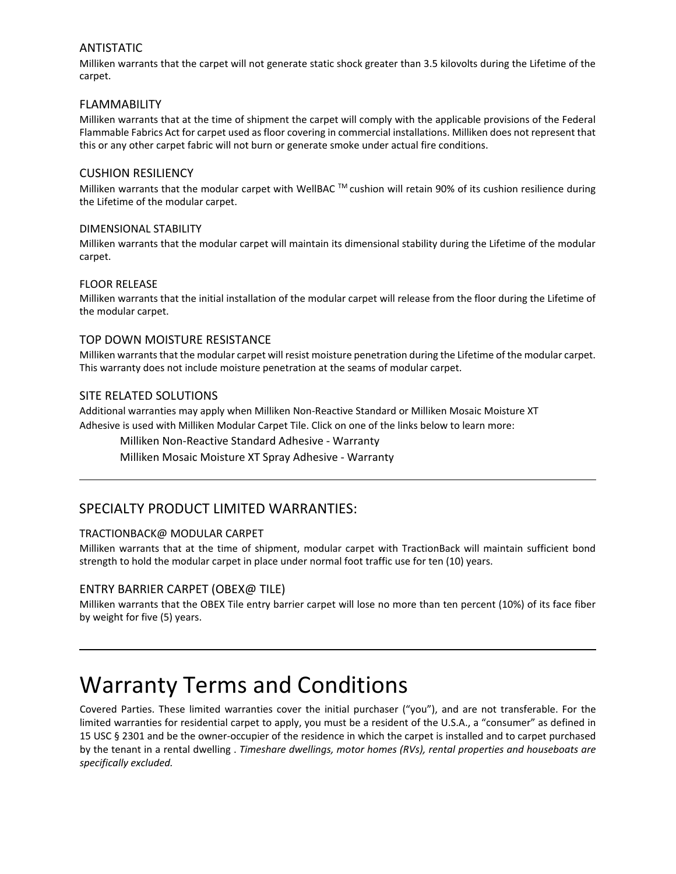#### ANTISTATIC

Milliken warrants that the carpet will not generate static shock greater than 3.5 kilovolts during the Lifetime of the carpet.

#### FLAMMABILITY

Milliken warrants that at the time of shipment the carpet will comply with the applicable provisions of the Federal Flammable Fabrics Act for carpet used as floor covering in commercial installations. Milliken does not represent that this or any other carpet fabric will not burn or generate smoke under actual fire conditions.

#### CUSHION RESILIENCY

Milliken warrants that the modular carpet with WellBAC ™ cushion will retain 90% of its cushion resilience during the Lifetime of the modular carpet.

#### DIMENSIONAL STABILITY

Milliken warrants that the modular carpet will maintain its dimensional stability during the Lifetime of the modular carpet.

#### FLOOR RELEASE

Milliken warrants that the initial installation of the modular carpet will release from the floor during the Lifetime of the modular carpet.

#### TOP DOWN MOISTURE RESISTANCE

Milliken warrants that the modular carpet will resist moisture penetration during the Lifetime of the modular carpet. This warranty does not include moisture penetration at the seams of modular carpet.

#### SITE RELATED SOLUTIONS

Additional warranties may apply when Milliken Non-Reactive Standard or Milliken Mosaic Moisture XT Adhesive is used with Milliken Modular Carpet Tile. Click on one of the links below to learn more:

Milliken Non-Reactive Standard Adhesive - Warranty

Milliken Mosaic Moisture XT Spray Adhesive - Warranty

### SPECIALTY PRODUCT LIMITED WARRANTIES:

#### TRACTIONBACK@ MODULAR CARPET

Milliken warrants that at the time of shipment, modular carpet with TractionBack will maintain sufficient bond strength to hold the modular carpet in place under normal foot traffic use for ten (10) years.

#### ENTRY BARRIER CARPET (OBEX@ TILE)

Milliken warrants that the OBEX Tile entry barrier carpet will lose no more than ten percent (10%) of its face fiber by weight for five (5) years.

# Warranty Terms and Conditions

Covered Parties. These limited warranties cover the initial purchaser ("you"), and are not transferable. For the limited warranties for residential carpet to apply, you must be a resident of the U.S.A., a "consumer" as defined in 15 USC § 2301 and be the owner-occupier of the residence in which the carpet is installed and to carpet purchased by the tenant in a rental dwelling . *Timeshare dwellings, motor homes (RVs), rental properties and houseboats are specifically excluded.*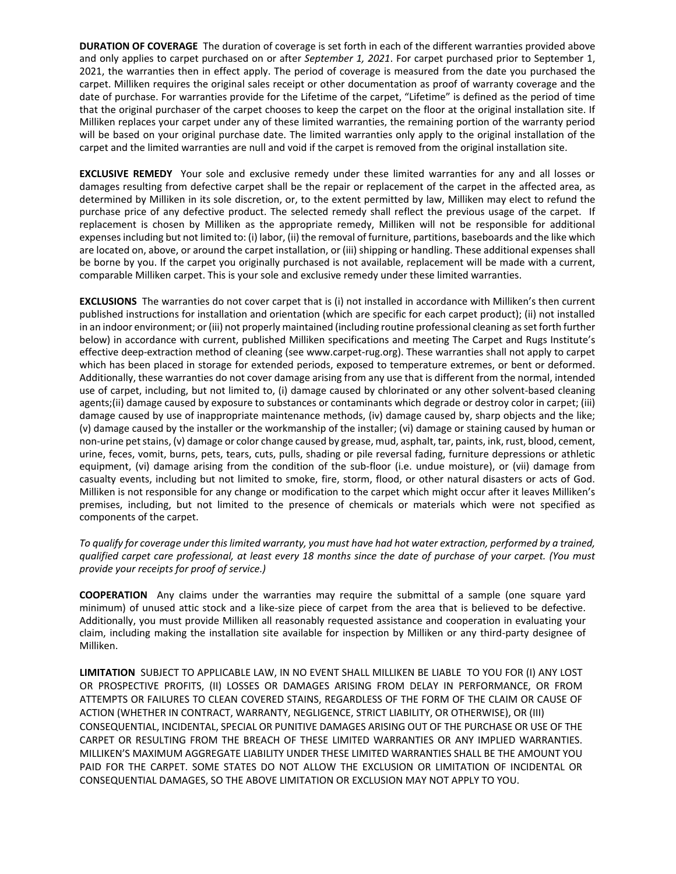**DURATION OF COVERAGE** The duration of coverage is set forth in each of the different warranties provided above and only applies to carpet purchased on or after *September 1, 2021*. For carpet purchased prior to September 1, 2021, the warranties then in effect apply. The period of coverage is measured from the date you purchased the carpet. Milliken requires the original sales receipt or other documentation as proof of warranty coverage and the date of purchase. For warranties provide for the Lifetime of the carpet, "Lifetime" is defined as the period of time that the original purchaser of the carpet chooses to keep the carpet on the floor at the original installation site. If Milliken replaces your carpet under any of these limited warranties, the remaining portion of the warranty period will be based on your original purchase date. The limited warranties only apply to the original installation of the carpet and the limited warranties are null and void if the carpet is removed from the original installation site.

**EXCLUSIVE REMEDY** Your sole and exclusive remedy under these limited warranties for any and all losses or damages resulting from defective carpet shall be the repair or replacement of the carpet in the affected area, as determined by Milliken in its sole discretion, or, to the extent permitted by law, Milliken may elect to refund the purchase price of any defective product. The selected remedy shall reflect the previous usage of the carpet. If replacement is chosen by Milliken as the appropriate remedy, Milliken will not be responsible for additional expenses including but not limited to: (i) labor, (ii) the removal of furniture, partitions, baseboards and the like which are located on, above, or around the carpet installation, or (iii) shipping or handling. These additional expenses shall be borne by you. If the carpet you originally purchased is not available, replacement will be made with a current, comparable Milliken carpet. This is your sole and exclusive remedy under these limited warranties.

**EXCLUSIONS** The warranties do not cover carpet that is (i) not installed in accordance with Milliken's then current published instructions for installation and orientation (which are specific for each carpet product); (ii) not installed in an indoor environment; or (iii) not properly maintained (including routine professional cleaning as set forth further below) in accordance with current, published Milliken specifications and meeting The Carpet and Rugs Institute's effective deep-extraction method of cleaning (see www.carpet-rug.org). These warranties shall not apply to carpet which has been placed in storage for extended periods, exposed to temperature extremes, or bent or deformed. Additionally, these warranties do not cover damage arising from any use that is different from the normal, intended use of carpet, including, but not limited to, (i) damage caused by chlorinated or any other solvent-based cleaning agents;(ii) damage caused by exposure to substances or contaminants which degrade or destroy color in carpet; (iii) damage caused by use of inappropriate maintenance methods, (iv) damage caused by, sharp objects and the like; (v) damage caused by the installer or the workmanship of the installer; (vi) damage or staining caused by human or non-urine pet stains, (v) damage or color change caused by grease, mud, asphalt, tar, paints, ink, rust, blood, cement, urine, feces, vomit, burns, pets, tears, cuts, pulls, shading or pile reversal fading, furniture depressions or athletic equipment, (vi) damage arising from the condition of the sub-floor (i.e. undue moisture), or (vii) damage from casualty events, including but not limited to smoke, fire, storm, flood, or other natural disasters or acts of God. Milliken is not responsible for any change or modification to the carpet which might occur after it leaves Milliken's premises, including, but not limited to the presence of chemicals or materials which were not specified as components of the carpet.

#### *To qualify for coverage under this limited warranty, you must have had hot water extraction, performed by a trained, qualified carpet care professional, at least every 18 months since the date of purchase of your carpet. (You must provide your receipts for proof of service.)*

**COOPERATION** Any claims under the warranties may require the submittal of a sample (one square yard minimum) of unused attic stock and a like-size piece of carpet from the area that is believed to be defective. Additionally, you must provide Milliken all reasonably requested assistance and cooperation in evaluating your claim, including making the installation site available for inspection by Milliken or any third-party designee of Milliken.

**LIMITATION** SUBJECT TO APPLICABLE LAW, IN NO EVENT SHALL MILLIKEN BE LIABLE TO YOU FOR (I) ANY LOST OR PROSPECTIVE PROFITS, (II) LOSSES OR DAMAGES ARISING FROM DELAY IN PERFORMANCE, OR FROM ATTEMPTS OR FAILURES TO CLEAN COVERED STAINS, REGARDLESS OF THE FORM OF THE CLAIM OR CAUSE OF ACTION (WHETHER IN CONTRACT, WARRANTY, NEGLIGENCE, STRICT LIABILITY, OR OTHERWISE), OR (III) CONSEQUENTIAL, INCIDENTAL, SPECIAL OR PUNITIVE DAMAGES ARISING OUT OF THE PURCHASE OR USE OF THE CARPET OR RESULTING FROM THE BREACH OF THESE LIMITED WARRANTIES OR ANY IMPLIED WARRANTIES. MILLIKEN'S MAXIMUM AGGREGATE LIABILITY UNDER THESE LIMITED WARRANTIES SHALL BE THE AMOUNT YOU PAID FOR THE CARPET. SOME STATES DO NOT ALLOW THE EXCLUSION OR LIMITATION OF INCIDENTAL OR CONSEQUENTIAL DAMAGES, SO THE ABOVE LIMITATION OR EXCLUSION MAY NOT APPLY TO YOU.